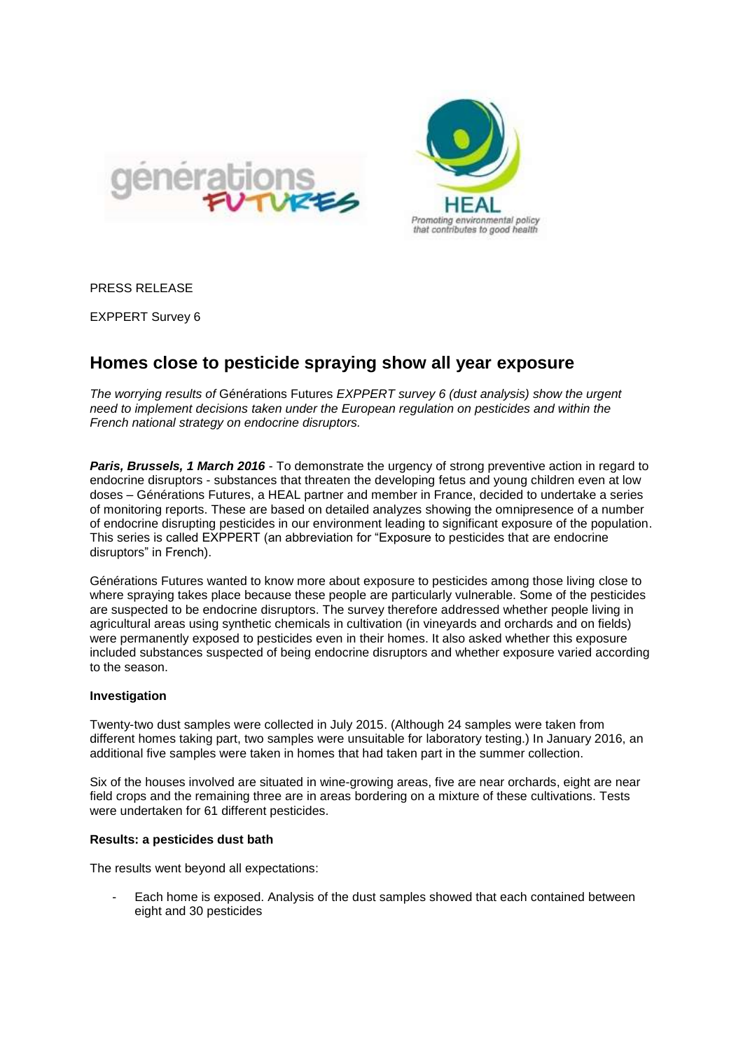



PRESS RELEASE

EXPPERT Survey 6

# **Homes close to pesticide spraying show all year exposure**

*The worrying results of* Générations Futures *EXPPERT survey 6 (dust analysis) show the urgent need to implement decisions taken under the European regulation on pesticides and within the French national strategy on endocrine disruptors.* 

**Paris, Brussels, 1 March 2016** - To demonstrate the urgency of strong preventive action in regard to endocrine disruptors - substances that threaten the developing fetus and young children even at low doses – Générations Futures, a HEAL partner and member in France, decided to undertake a series of monitoring reports. These are based on detailed analyzes showing the omnipresence of a number of endocrine disrupting pesticides in our environment leading to significant exposure of the population. This series is called EXPPERT (an abbreviation for "Exposure to pesticides that are endocrine disruptors" in French).

Générations Futures wanted to know more about exposure to pesticides among those living close to where spraying takes place because these people are particularly vulnerable. Some of the pesticides are suspected to be endocrine disruptors. The survey therefore addressed whether people living in agricultural areas using synthetic chemicals in cultivation (in vineyards and orchards and on fields) were permanently exposed to pesticides even in their homes. It also asked whether this exposure included substances suspected of being endocrine disruptors and whether exposure varied according to the season.

### **Investigation**

Twenty-two dust samples were collected in July 2015. (Although 24 samples were taken from different homes taking part, two samples were unsuitable for laboratory testing.) In January 2016, an additional five samples were taken in homes that had taken part in the summer collection.

Six of the houses involved are situated in wine-growing areas, five are near orchards, eight are near field crops and the remaining three are in areas bordering on a mixture of these cultivations. Tests were undertaken for 61 different pesticides.

### **Results: a pesticides dust bath**

The results went beyond all expectations:

Each home is exposed. Analysis of the dust samples showed that each contained between eight and 30 pesticides